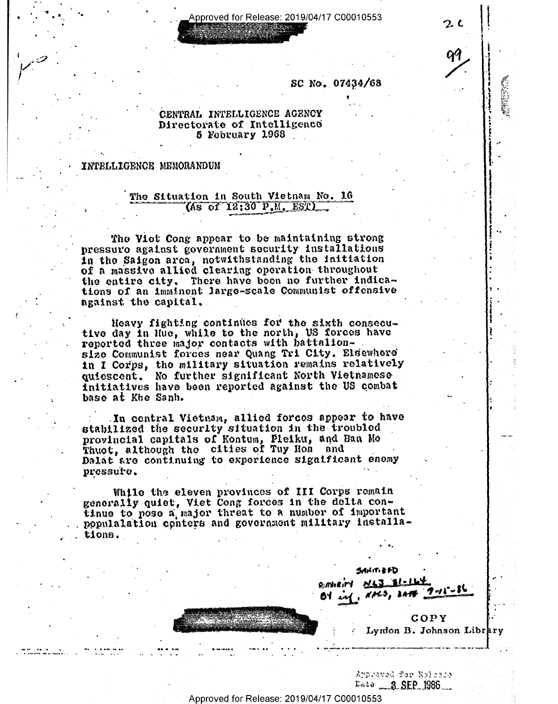Approved for Release: 2019/04/17 C00010553

SC No. 07434/68

### CENTRAL INTELLIGENCE AGENCY Directorate of Intelligence 5 February 1968

#### INTELLIGENCE MEMORANDUM

## The Situation in South Vietnam No. 16 (As of  $12:30$  P.M.  $EST$ )

The Viet Cong appear to be maintaining strong pressuro against government security installations in the Saigon area, notwithstanding the initiation of a massive allied clearing operation throughout the entire city. There have been no further indications of an imminent large-scale Communist offensive against the capital.

Heavy fighting continues for the sixth consecutive day in Hue, while to the north, US forces have reported three major contacts with battalionsize Communist forces near Quang Tri City. Elsewhere in I Corps, the military situation remains relatively quiescent. No further significant North Vietnamese initiatives have been reported against the US combat base at Khe Sanh.

In central Vietnam, allied forces appear to have stabilized the security situation in the troubled provincial capitals of Kontum, Pleiku, and Ban Mo<br>Thuot, although the cities of Tuy Hon and Dalat are continuing to experience significant enemy pressure.

While the eleven provinces of III Corps remain generally quiet, Viet Cong forces in the delta continue to pose a major threat to a number of important populalation conters and government military installations.

しいげいようひ

 $GOPY$ Lynion B. Johnson Library

Approved for Raleaco  $_{\text{Pato}}$  3 SEP 1986

Approved for Release: 2019/04/17 C00010553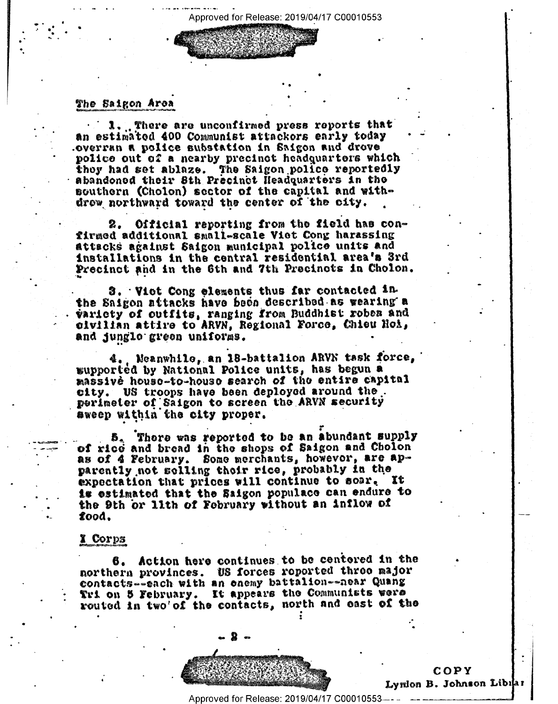### The Saigon Area

1. There are unconfirmed press reports that an estimated 400 Communist attackors early today overran a police substation in Saigon and drove police out of a nearby precinct headquarters which they had set ablaze. The Saigon police reportedly abandoned their 8th Precinct Headquarters in the southern (Cholon) sector of the capital and withdrow northward toward the center of the city.

2. Official reporting from the field has confirmed additional small-scale Viet Cong harassing attacks against Saigon municipal police units and installations in the central residential area's 3rd Precinct and in the 6th and 7th Precincts in Cholon.

3. Viet Cong elements thus far contacted in the Saigon attacks have been described as wearing a variety of outfits, ranging from Buddhist robes and civilian attire to ARVN, Regional Force, Chieu Hoi, and junglo green uniforms.

Neanwhile, an 18-battalion ARVN task force, supported by National Police units, has begun a massive house-to-house search of the entire capital city. US troops have been deployed around the. perimeter of Saigon to screen the ARVN security sweep within the city proper.

There was reported to be an abundant supply 5. of rice and bread in the shops of Saigon and Cholon as of 4 February. Some merchants, however, are apparently not selling their rice, probably in the expectation that prices will continue to soar. It is estimated that the Saigon populace can endure to the 9th or 11th of February without an inflow of food.

#### I Corps

6. Action here continues to be centered in the northern provinces. US forces roported three major contacts--each with an enemy battalion--aear Quang Tri on 5 February. It appears the Communists were routed in two' of the contacts, north and east of the



COPY Lynlon B. Johnson Libilar

Approved for Release: 2019/04/17 C00010553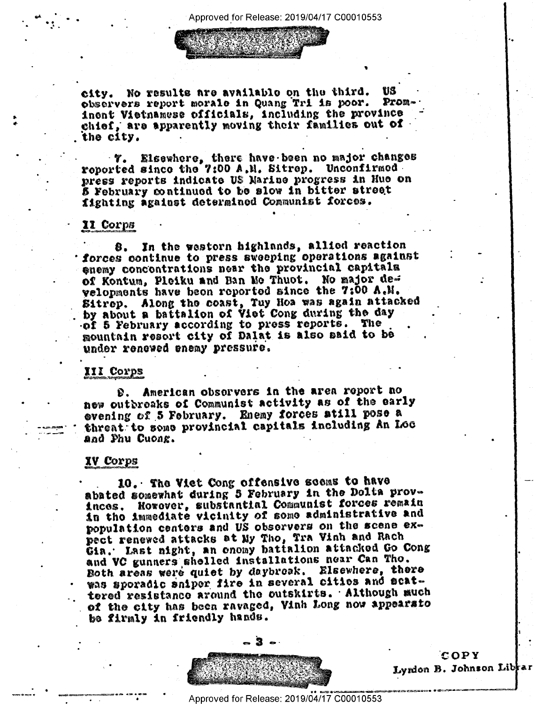city. No results are available on the third. 11S observers report morale in Quang Tri is poor. Proninent Vietnamese officials, including the province chief, are apparently moving their families out of the city.

Elsewhere, there have been no major changes  $\cdot$  7.  $\cdot$ reported since the 7:00 A.M. Sitrep. Unconfirmed press reports indicate US Marine progress in Hue on 5 February continued to be slow in bitter street fighting against determined Communist forces.

#### II Corps

8. In the westorn highlands, allied reaction forces continue to press awoeping operations against enemy concontrations near the provincial capitals of Kontum, Pleiku and Ban Me Thuot. No major developments have been reported since the 7:00 A.M. Sitrep. Along the coast, Tuy Hoa was again attacked by about a battalion of Viet Cong during the day of 5 February according to press reports. The mountnin resort city of Dalat is also said to be under renewed enemy pressure.

### III Corps

9. American observers in the area report no new outbroaks of Communist activity as of the early evening of 5 February. Enemy forces still pose a threat to some provincial capitals including an Loc and Phu Cuong.

# IV Corps

10. The Viet Cong offensive scens to have abated somewhat during 5 February in the Dolta provinces. However, substantial Communist forces remain in the immediate vicinity of some administrative and population centers and US observers on the scene expect renewed attacks at My Tho, Tra Vinh and Rach Gia. Last night, an enomy battalion attacked Go Cong and VC gunners shelled installations near Can Tho. Both areas were quiet by daybroak. Elsewhere, there was sporadic sniper fire in several cities and scattered resistance around the outskirts. Although much of the city has been ravaged, Vinh Long now appearato be firmly in friendly hands.



COPY Lyndon B. Johnson Librar

Approved for Release: 2019/04/17 C00010553